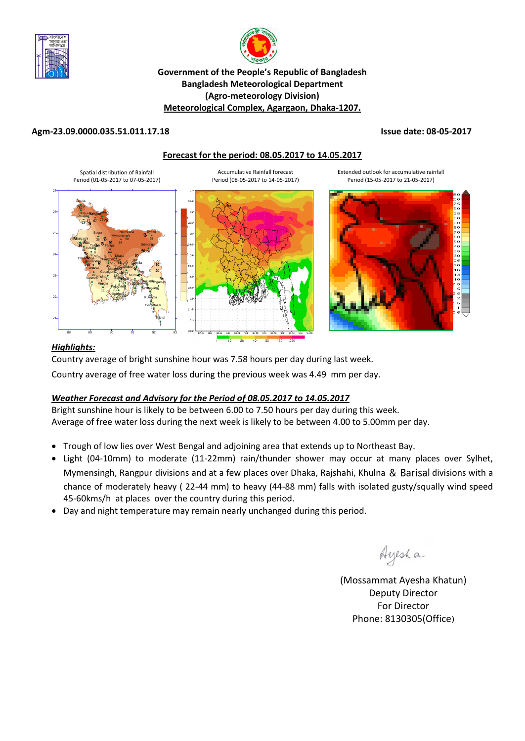



## **Government of the People's Republic of Bangladesh Bangladesh Meteorological Department (Agro-meteorology Division) Meteorological Complex, Agargaon, Dhaka-1207.**

#### **Agm-23.09.0000.035.51.011.17.18 Issue date: 08-05-2017**





## *Highlights:*

Country average of bright sunshine hour was 7.58 hours per day during last week.

Country average of free water loss during the previous week was 4.49 mm per day.

## *Weather Forecast and Advisory for the Period of 08.05.2017 to 14.05.2017*

Bright sunshine hour is likely to be between 6.00 to 7.50 hours per day during this week. Average of free water loss during the next week is likely to be between 4.00 to 5.00mm per day.

- Trough of low lies over West Bengal and adjoining area that extends up to Northeast Bay.
- Light (04-10mm) to moderate (11-22mm) rain/thunder shower may occur at many places over Sylhet, Mymensingh, Rangpur divisions and at a few places over Dhaka, Rajshahi, Khulna & Barisal divisions with a chance of moderately heavy ( 22-44 mm) to heavy (44-88 mm) falls with isolated gusty/squally wind speed 45-60kms/h at places over the country during this period.
- Day and night temperature may remain nearly unchanged during this period.

Ayesha

(Mossammat Ayesha Khatun) Deputy Director For Director Phone: 8130305(Office)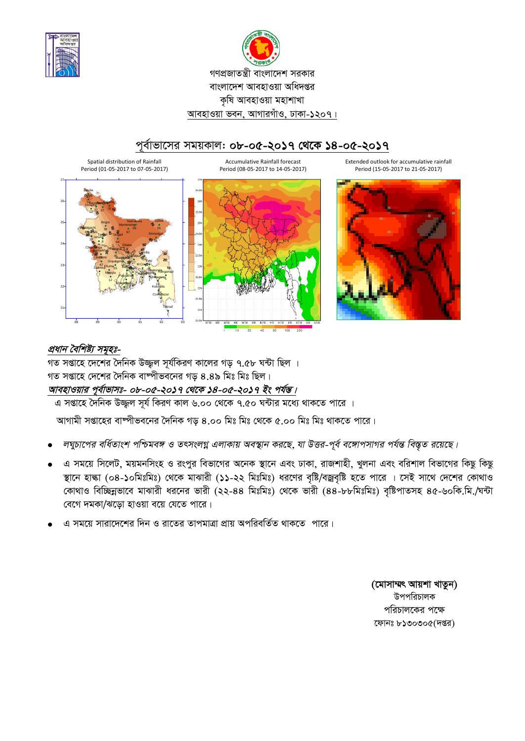



## পর্বাভাসের সময়কাল: ০৮-০৫-২০১৭ থেকে ১৪-০৫-২০১৭







## প্রধান বৈশিষ্ট্য সমুহঃ-

গত সপ্তাহে দেশের দৈনিক উজ্জ্বল সূর্যকিরণ কালের গড় ৭.৫৮ ঘন্টা ছিল । গত সপ্তাহে দেশের দৈনিক বাষ্পীভবনের গড় ৪.৪৯ মিঃ মিঃ ছিল। আবহাওয়ার পূর্বাভাসঃ- ০৮-০৫-২০১৭ থেকে ১৪-০৫-২০১৭ ইং পর্যন্ত।

এ সপ্তাহে দৈনিক উজ্জল সূৰ্য কিৱণ কাল ৬.০০ থেকে ৭.৫০ ঘন্টার মধ্যে থাকতে পারে ।

আগামী সপ্তাহের বাষ্পীভবনের দৈনিক গড ৪.০০ মিঃ মিঃ থেকে ৫.০০ মিঃ মিঃ থাকতে পারে।

- লঘুচাপের বর্ধিতাংশ পশ্চিমবঙ্গ ও তৎসংলগ্ন এলাকায় অবস্থান করছে, যা উত্তর-পূর্ব বঙ্গোপসাগর পর্যন্ত বিস্তৃত রয়েছে।
- এ সময়ে সিলেট, ময়মনসিংহ ও রংপুর বিভাগের অনেক স্থানে এবং ঢাকা, রাজশাহী, খুলনা এবং বরিশাল বিভাগের কিছু কিছু স্থানে হাল্কা (০৪-১০মিঃমিঃ) থেকে মাঝারী (১১-২২ মিঃমিঃ) ধরণের বৃষ্টি/বজ্রবৃষ্টি হতে পারে । সেই সাথে দেশের কোথাও কোথাও বিচ্ছিন্নভাবে মাঝারী ধরনের ভারী (২২-৪৪ মিঃমিঃ) থেকে ভারী (৪৪-৮৮মিঃমিঃ) বৃষ্টিপাতসহ ৪৫-৬০কি.মি./ঘন্টা বেগে দমকা/ঝড়ো হাওয়া বয়ে যেতে পারে।
- এ সময়ে সারাদেশের দিন ও রাতের তাপমাত্রা প্রায় অপরিবর্তিত থাকতে পারে।

(মোসাম্মৎ আয়শা খাতুন) উপপরিচালক পরিচালকের পক্ষে ফোনঃ ৮১৩০৩০৫(দপ্তর)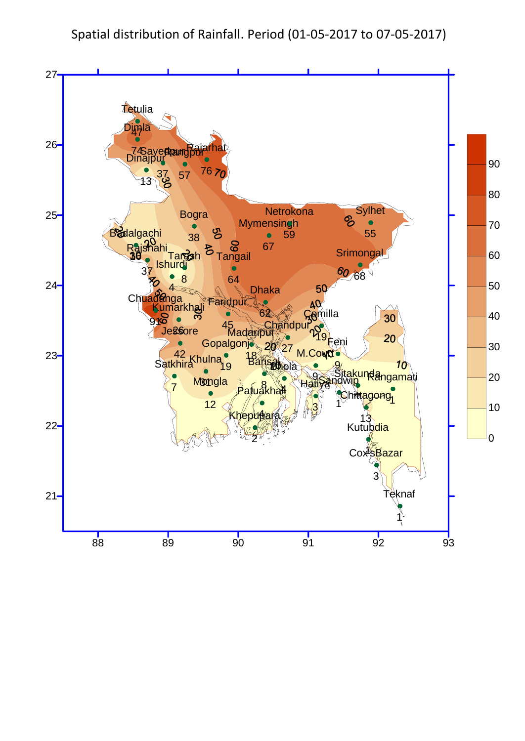# Spatial distribution of Rainfall. Period (01-05-2017 to 07-05-2017)